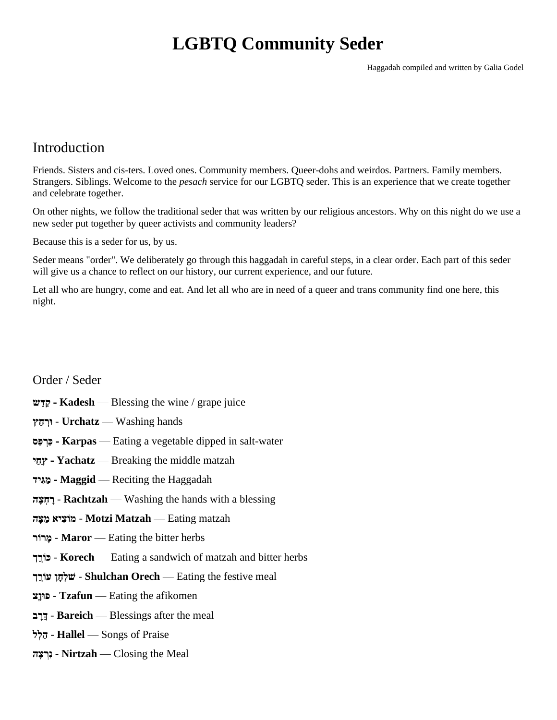# **LGBTQ Community Seder**

Haggadah compiled and written by Galia Godel

### Introduction

Friends. Sisters and cis-ters. Loved ones. Community members. Queer-dohs and weirdos. Partners. Family members. Strangers. Siblings. Welcome to the *pesach* service for our LGBTQ seder. This is an experience that we create together and celebrate together.

On other nights, we follow the traditional seder that was written by our religious ancestors. Why on this night do we use a new seder put together by queer activists and community leaders?

Because this is a seder for us, by us.

Seder means "order". We deliberately go through this haggadah in careful steps, in a clear order. Each part of this seder will give us a chance to reflect on our history, our current experience, and our future.

Let all who are hungry, come and eat. And let all who are in need of a queer and trans community find one here, this night.

#### Order / Seder

- **ש ֵּדַק - Kadesh** Blessing the wine / grape juice
- hands Washing **Urchatz ּורְ חַ ץ**
- **סַפ ְרַכ - Karpas** Eating a vegetable dipped in salt-water
- **י ַחַץ - Yachatz** Breaking the middle matzah
- **יד ִּג ַמ - Maggid** Reciting the Haggadah
- **ה ָצ ְח ָר Rachtzah** Washing the hands with a blessing
- matzah Eating **Matzah Motzi מֹוצִּ יא מַ צָ ה**
- **ורֹר ָמ Maror** Eating the bitter herbs
- **ך ֵּ ְורֹכ Korech** Eating a sandwich of matzah and bitter herbs
- meal festive the Eating **Orech Shulchan ׁשלְ חָ ן עֹורְ ֵּ ך**
- **צָוןּפ Tzafun** Eating the afikomen
- **ב ָרֵּך Bareich** Blessings after the meal
- **ל ְל ַה Hallel** Songs of Praise
- Meal the Closing **Nirtzah נִּרְ צָ ה**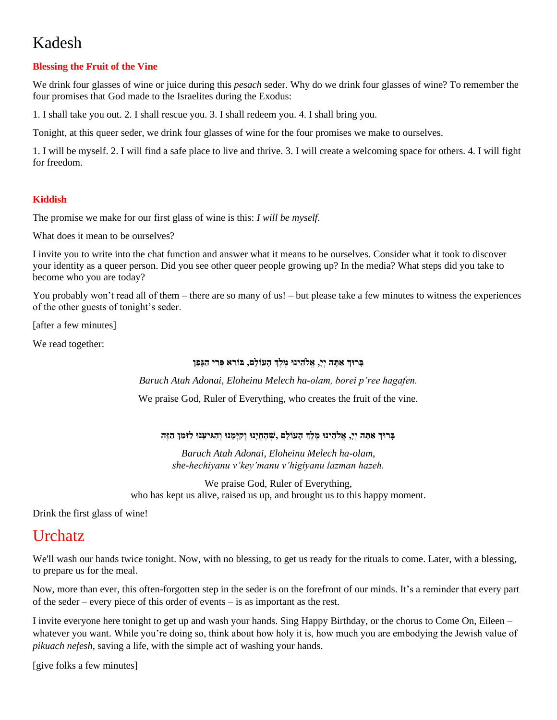# Kadesh

#### **Blessing the Fruit of the Vine**

We drink four glasses of wine or juice during this *pesach* seder. Why do we drink four glasses of wine? To remember the four promises that God made to the Israelites during the Exodus:

1. I shall take you out. 2. I shall rescue you. 3. I shall redeem you. 4. I shall bring you.

Tonight, at this queer seder, we drink four glasses of wine for the four promises we make to ourselves.

1. I will be myself. 2. I will find a safe place to live and thrive. 3. I will create a welcoming space for others. 4. I will fight for freedom.

#### **Kiddish**

The promise we make for our first glass of wine is this: *I will be myself.*

What does it mean to be ourselves?

I invite you to write into the chat function and answer what it means to be ourselves. Consider what it took to discover your identity as a queer person. Did you see other queer people growing up? In the media? What steps did you take to become who you are today?

You probably won't read all of them – there are so many of us! – but please take a few minutes to witness the experiences of the other guests of tonight's seder.

[after a few minutes]

We read together:

#### **בָ רּוך אַ תָ ה יְי,ָ אֱֹלהֵּ ינּו מֶ לֶך הָעֹולָם, בֹורֵּ א פְ רִּ י הַגָפֶן**

*Baruch Atah Adonai, Eloheinu Melech ha-olam, borei p'ree hagafen.*

We praise God, Ruler of Everything, who creates the fruit of the vine.

#### **בָ רּוך אַ תָ ה יְי,ָ אֱֹלהֵּ ינּו מֶ לֶך הָעֹולָם ׁ,שֶ הֶ חֱיָנּו וְ קִּ יְמָ נּו וְ הִּ גִּ יעָנּו לַזְמַ ן הַ זֶ ה**

*Baruch Atah Adonai, Eloheinu Melech ha-olam, she-hechiyanu v'key'manu v'higiyanu lazman hazeh.*

We praise God, Ruler of Everything, who has kept us alive, raised us up, and brought us to this happy moment.

Drink the first glass of wine!

### **Urchatz**

We'll wash our hands twice tonight. Now, with no blessing, to get us ready for the rituals to come. Later, with a blessing, to prepare us for the meal.

Now, more than ever, this often-forgotten step in the seder is on the forefront of our minds. It's a reminder that every part of the seder – every piece of this order of events – is as important as the rest.

I invite everyone here tonight to get up and wash your hands. Sing Happy Birthday, or the chorus to Come On, Eileen – whatever you want. While you're doing so, think about how holy it is, how much you are embodying the Jewish value of *pikuach nefesh*, saving a life, with the simple act of washing your hands.

[give folks a few minutes]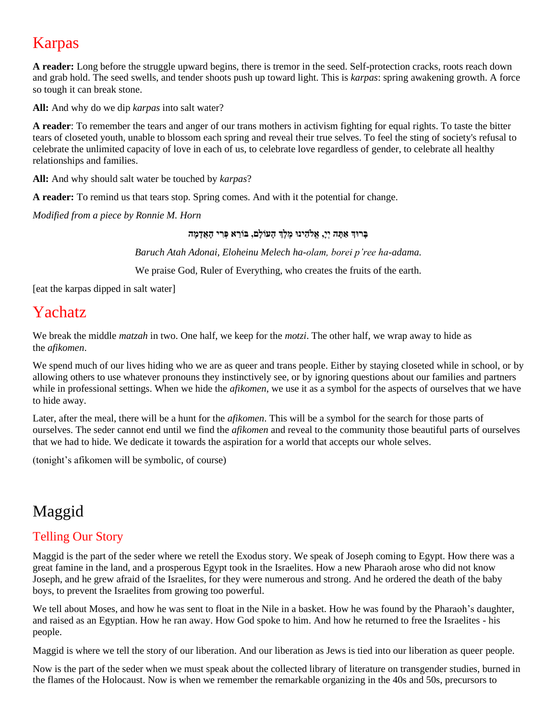# Karpas

**A reader:** Long before the struggle upward begins, there is tremor in the seed. Self-protection cracks, roots reach down and grab hold. The seed swells, and tender shoots push up toward light. This is *karpas*: spring awakening growth. A force so tough it can break stone.

**All:** And why do we dip *karpas* into salt water?

**A reader**: To remember the tears and anger of our trans mothers in activism fighting for equal rights. To taste the bitter tears of closeted youth, unable to blossom each spring and reveal their true selves. To feel the sting of society's refusal to celebrate the unlimited capacity of love in each of us, to celebrate love regardless of gender, to celebrate all healthy relationships and families.

**All:** And why should salt water be touched by *karpas*?

**A reader:** To remind us that tears stop. Spring comes. And with it the potential for change.

*Modified from a piece by Ronnie M. Horn*

#### בְּרוּךְ אַתָּה יְיָ, אֱלֹהֵינוּ מֶלֶךְ הָעוֹלָם, בּוֹרֵא פְּרִי הָאֲדָמָה

*Baruch Atah Adonai, Eloheinu Melech ha-olam, borei p'ree ha-adama.*

We praise God, Ruler of Everything, who creates the fruits of the earth.

[eat the karpas dipped in salt water]

## Yachatz

We break the middle *matzah* in two. One half, we keep for the *motzi*. The other half, we wrap away to hide as the *afikomen*.

We spend much of our lives hiding who we are as queer and trans people. Either by staying closeted while in school, or by allowing others to use whatever pronouns they instinctively see, or by ignoring questions about our families and partners while in professional settings. When we hide the *afikomen*, we use it as a symbol for the aspects of ourselves that we have to hide away.

Later, after the meal, there will be a hunt for the *afikomen*. This will be a symbol for the search for those parts of ourselves. The seder cannot end until we find the *afikomen* and reveal to the community those beautiful parts of ourselves that we had to hide. We dedicate it towards the aspiration for a world that accepts our whole selves.

(tonight's afikomen will be symbolic, of course)

# Maggid

### Telling Our Story

Maggid is the part of the seder where we retell the Exodus story. We speak of Joseph coming to Egypt. How there was a great famine in the land, and a prosperous Egypt took in the Israelites. How a new Pharaoh arose who did not know Joseph, and he grew afraid of the Israelites, for they were numerous and strong. And he ordered the death of the baby boys, to prevent the Israelites from growing too powerful.

We tell about Moses, and how he was sent to float in the Nile in a basket. How he was found by the Pharaoh's daughter, and raised as an Egyptian. How he ran away. How God spoke to him. And how he returned to free the Israelites - his people.

Maggid is where we tell the story of our liberation. And our liberation as Jews is tied into our liberation as queer people.

Now is the part of the seder when we must speak about the collected library of literature on transgender studies, burned in the flames of the Holocaust. Now is when we remember the remarkable organizing in the 40s and 50s, precursors to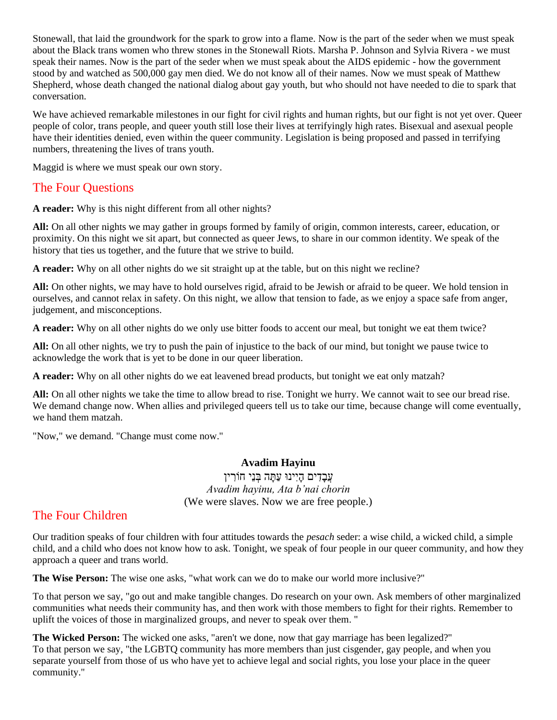Stonewall, that laid the groundwork for the spark to grow into a flame. Now is the part of the seder when we must speak about the Black trans women who threw stones in the Stonewall Riots. Marsha P. Johnson and Sylvia Rivera - we must speak their names. Now is the part of the seder when we must speak about the AIDS epidemic - how the government stood by and watched as 500,000 gay men died. We do not know all of their names. Now we must speak of Matthew Shepherd, whose death changed the national dialog about gay youth, but who should not have needed to die to spark that conversation.

We have achieved remarkable milestones in our fight for civil rights and human rights, but our fight is not yet over. Queer people of color, trans people, and queer youth still lose their lives at terrifyingly high rates. Bisexual and asexual people have their identities denied, even within the queer community. Legislation is being proposed and passed in terrifying numbers, threatening the lives of trans youth.

Maggid is where we must speak our own story.

### The Four Questions

**A reader:** Why is this night different from all other nights?

**All:** On all other nights we may gather in groups formed by family of origin, common interests, career, education, or proximity. On this night we sit apart, but connected as queer Jews, to share in our common identity. We speak of the history that ties us together, and the future that we strive to build.

**A reader:** Why on all other nights do we sit straight up at the table, but on this night we recline?

**All:** On other nights, we may have to hold ourselves rigid, afraid to be Jewish or afraid to be queer. We hold tension in ourselves, and cannot relax in safety. On this night, we allow that tension to fade, as we enjoy a space safe from anger, judgement, and misconceptions.

**A reader:** Why on all other nights do we only use bitter foods to accent our meal, but tonight we eat them twice?

**All:** On all other nights, we try to push the pain of injustice to the back of our mind, but tonight we pause twice to acknowledge the work that is yet to be done in our queer liberation.

**A reader:** Why on all other nights do we eat leavened bread products, but tonight we eat only matzah?

**All:** On all other nights we take the time to allow bread to rise. Tonight we hurry. We cannot wait to see our bread rise. We demand change now. When allies and privileged queers tell us to take our time, because change will come eventually, we hand them matzah.

"Now," we demand. "Change must come now."

#### **Avadim Hayinu**

עֲבָדִים הָיִינוּ עַתָּה בְּנֵי חוֹרִין *Avadim hayinu, Ata b'nai chorin* (We were slaves. Now we are free people.)

### The Four Children

Our tradition speaks of four children with four attitudes towards the *pesach* seder: a wise child, a wicked child, a simple child, and a child who does not know how to ask. Tonight, we speak of four people in our queer community, and how they approach a queer and trans world.

**The Wise Person:** The wise one asks, "what work can we do to make our world more inclusive?"

To that person we say, "go out and make tangible changes. Do research on your own. Ask members of other marginalized communities what needs their community has, and then work with those members to fight for their rights. Remember to uplift the voices of those in marginalized groups, and never to speak over them. "

**The Wicked Person:** The wicked one asks, "aren't we done, now that gay marriage has been legalized?" To that person we say, "the LGBTQ community has more members than just cisgender, gay people, and when you separate yourself from those of us who have yet to achieve legal and social rights, you lose your place in the queer community."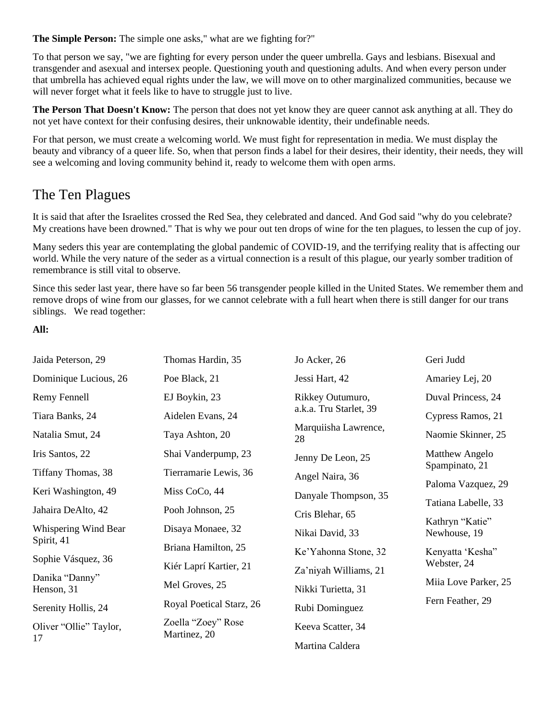**The Simple Person:** The simple one asks," what are we fighting for?"

To that person we say, "we are fighting for every person under the queer umbrella. Gays and lesbians. Bisexual and transgender and asexual and intersex people. Questioning youth and questioning adults. And when every person under that umbrella has achieved equal rights under the law, we will move on to other marginalized communities, because we will never forget what it feels like to have to struggle just to live.

**The Person That Doesn't Know:** The person that does not yet know they are queer cannot ask anything at all. They do not yet have context for their confusing desires, their unknowable identity, their undefinable needs.

For that person, we must create a welcoming world. We must fight for representation in media. We must display the beauty and vibrancy of a queer life. So, when that person finds a label for their desires, their identity, their needs, they will see a welcoming and loving community behind it, ready to welcome them with open arms.

### The Ten Plagues

It is said that after the Israelites crossed the Red Sea, they celebrated and danced. And God said "why do you celebrate? My creations have been drowned." That is why we pour out ten drops of wine for the ten plagues, to lessen the cup of joy.

Many seders this year are contemplating the global pandemic of COVID-19, and the terrifying reality that is affecting our world. While the very nature of the seder as a virtual connection is a result of this plague, our yearly somber tradition of remembrance is still vital to observe.

Since this seder last year, there have so far been 56 transgender people killed in the United States. We remember them and remove drops of wine from our glasses, for we cannot celebrate with a full heart when there is still danger for our trans siblings. We read together:

#### **All:**

| Jaida Peterson, 29           | Thomas Hardin, 35                  | Jo Acker, 26               | Geri Judd                               |
|------------------------------|------------------------------------|----------------------------|-----------------------------------------|
| Dominique Lucious, 26        | Poe Black, 21                      | Jessi Hart, 42             | Amariey Lej, 20                         |
| Remy Fennell                 | EJ Boykin, 23                      | Rikkey Outumuro,           | Duval Princess, 24                      |
| Tiara Banks, 24              | Aidelen Evans, 24                  | a.k.a. Tru Starlet, 39     | Cypress Ramos, 21                       |
| Natalia Smut, 24             | Taya Ashton, 20                    | Marquiisha Lawrence,<br>28 | Naomie Skinner, 25                      |
| Iris Santos, 22              | Shai Vanderpump, 23                | Jenny De Leon, 25          | <b>Matthew Angelo</b><br>Spampinato, 21 |
| Tiffany Thomas, 38           | Tierramarie Lewis, 36              | Angel Naira, 36            |                                         |
| Keri Washington, 49          | Miss CoCo, 44                      | Danyale Thompson, 35       | Paloma Vazquez, 29                      |
| Jahaira DeAlto, 42           | Pooh Johnson, 25                   | Cris Blehar, 65            | Tatiana Labelle, 33                     |
| Whispering Wind Bear         | Disaya Monaee, 32                  | Nikai David, 33            | Kathryn "Katie"<br>Newhouse, 19         |
| Spirit, 41                   | Briana Hamilton, 25                | Ke'Yahonna Stone, 32       | Kenyatta 'Kesha"<br>Webster, 24         |
| Sophie Vásquez, 36           | Kiér Laprí Kartier, 21             | Za'niyah Williams, 21      |                                         |
| Danika "Danny"<br>Henson, 31 | Mel Groves, 25                     | Nikki Turietta, 31         | Miia Love Parker, 25                    |
| Serenity Hollis, 24          | Royal Poetical Starz, 26           | Rubi Dominguez             | Fern Feather, 29                        |
| Oliver "Ollie" Taylor,<br>17 | Zoella "Zoey" Rose<br>Martinez, 20 | Keeva Scatter, 34          |                                         |
|                              |                                    | Martina Caldera            |                                         |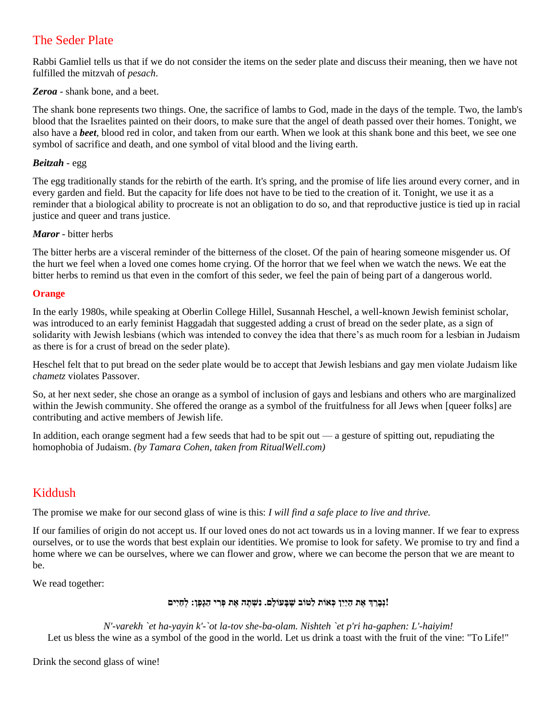### The Seder Plate

Rabbi Gamliel tells us that if we do not consider the items on the seder plate and discuss their meaning, then we have not fulfilled the mitzvah of *pesach*.

*Zeroa* - shank bone, and a beet.

The shank bone represents two things. One, the sacrifice of lambs to God, made in the days of the temple. Two, the lamb's blood that the Israelites painted on their doors, to make sure that the angel of death passed over their homes. Tonight, we also have a *beet,* blood red in color, and taken from our earth. When we look at this shank bone and this beet, we see one symbol of sacrifice and death, and one symbol of vital blood and the living earth.

#### *Beitzah* - egg

The egg traditionally stands for the rebirth of the earth. It's spring, and the promise of life lies around every corner, and in every garden and field. But the capacity for life does not have to be tied to the creation of it. Tonight, we use it as a reminder that a biological ability to procreate is not an obligation to do so, and that reproductive justice is tied up in racial justice and queer and trans justice.

#### *Maror* - bitter herbs

The bitter herbs are a visceral reminder of the bitterness of the closet. Of the pain of hearing someone misgender us. Of the hurt we feel when a loved one comes home crying. Of the horror that we feel when we watch the news. We eat the bitter herbs to remind us that even in the comfort of this seder, we feel the pain of being part of a dangerous world.

#### **Orange**

In the early 1980s, while speaking at Oberlin College Hillel, Susannah Heschel, a well-known Jewish feminist scholar, was introduced to an early feminist Haggadah that suggested adding a crust of bread on the seder plate, as a sign of solidarity with Jewish lesbians (which was intended to convey the idea that there's as much room for a lesbian in Judaism as there is for a crust of bread on the seder plate).

Heschel felt that to put bread on the seder plate would be to accept that Jewish lesbians and gay men violate Judaism like *chametz* violates Passover.

So, at her next seder, she chose an orange as a symbol of inclusion of gays and lesbians and others who are marginalized within the Jewish community. She offered the orange as a symbol of the fruitfulness for all Jews when [queer folks] are contributing and active members of Jewish life.

In addition, each orange segment had a few seeds that had to be spit out — a gesture of spitting out, repudiating the homophobia of Judaism. *(by Tamara Cohen, taken from RitualWell.com)*

### Kiddush

The promise we make for our second glass of wine is this: *I will find a safe place to live and thrive.*

If our families of origin do not accept us. If our loved ones do not act towards us in a loving manner. If we fear to express ourselves, or to use the words that best explain our identities. We promise to look for safety. We promise to try and find a home where we can be ourselves, where we can flower and grow, where we can become the person that we are meant to be.

We read together:

#### **!נְבָ רֵּ ך אֶ ת הַ יַיִּן כְ א ֹות לַטֹוב ׁשֶ בָ עֹולָם. נִּ ׁשְ תֶ ה אֶ ת פְ רִּ י הַגָפֶן: לְ חַ יִּים**

*N'-varekh `et ha-yayin k'-`ot la-tov she-ba-olam. Nishteh `et p'ri ha-gaphen: L'-haiyim!* Let us bless the wine as a symbol of the good in the world. Let us drink a toast with the fruit of the vine: "To Life!"

Drink the second glass of wine!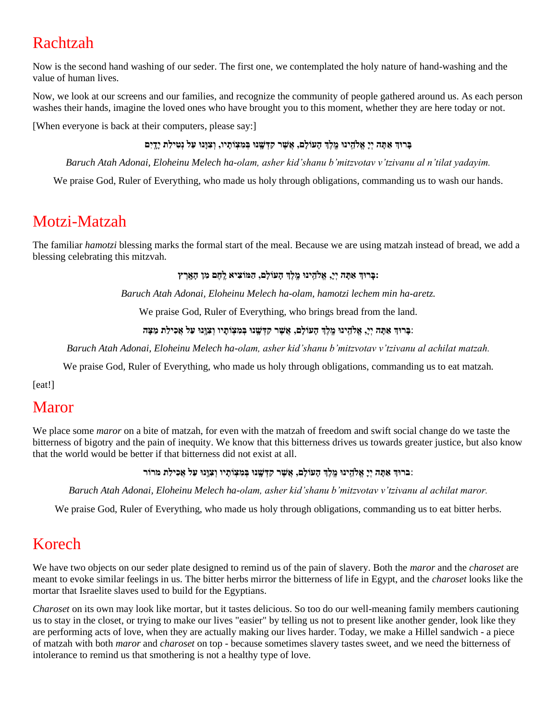# Rachtzah

Now is the second hand washing of our seder. The first one, we contemplated the holy nature of hand-washing and the value of human lives.

Now, we look at our screens and our families, and recognize the community of people gathered around us. As each person washes their hands, imagine the loved ones who have brought you to this moment, whether they are here today or not.

[When everyone is back at their computers, please say:]

#### בָּרוּךְ אַתָּה יְיָ אֱלֹהֵינוּ מֶלֶךְ הָעוֹלָם, אֲשֶׁר קִדְּשָׁנוּ בְּמִצְוֹתָיו, וְצִוָּנוּ עַל נְטִילַת יָדֵיִם

*Baruch Atah Adonai, Eloheinu Melech ha-olam, asher kid'shanu b'mitzvotav v'tzivanu al n'tilat yadayim.*

We praise God, Ruler of Everything, who made us holy through obligations, commanding us to wash our hands.

## Motzi-Matzah

The familiar *hamotzi* blessing marks the formal start of the meal. Because we are using matzah instead of bread, we add a blessing celebrating this mitzvah.

**:בְָ רּוך אַ תָ ה יְי,ָ אֱֹלהֵֵּֽ ינּו מֵֶֽ לֶך הָעֹולָם, הַ ּמֹוצִּ יא לֵֶֽ חֶ ם מִּ ן הָ אֵָֽ רֶ ץ** 

*Baruch Atah Adonai, Eloheinu Melech ha-olam, hamotzi lechem min ha-aretz.*

We praise God, Ruler of Everything, who brings bread from the land.

:**בָ רּוך אַ תָ ה יְי,ָ אֱֹלהֵֵּֽ ינּו מֵֶֽ לֶך הָעֹולָם, אֲׁשֶ ר קִּ דְ ׁשֵָֽ נּו בְ מִּ צְ ֹותַָ יו וְ צִּ ּוֵָֽנּו עַל אֲכִּ ילַת מַ צָ ה** 

*Baruch Atah Adonai, Eloheinu Melech ha-olam, asher kid'shanu b'mitzvotav v'tzivanu al achilat matzah.*

We praise God, Ruler of Everything, who made us holy through obligations, commanding us to eat matzah.

[eat!]

## Maror

We place some *maror* on a bite of matzah, for even with the matzah of freedom and swift social change do we taste the bitterness of bigotry and the pain of inequity. We know that this bitterness drives us towards greater justice, but also know that the world would be better if that bitterness did not exist at all.

#### :**ברּוך אַ תָ ה יְיַָ אֱֹלהֵֵּֽ ינּו מֵֶֽ לֶך הָעֹולָם, אֲׁשֶ ר קִּ דְ ׁשֵָֽ נּו בְ מִּ צְ ֹותָ יו וְ צִּ ּוֵָֽנּו עַל אֲכִּ ילַת מרֹור**

*Baruch Atah Adonai, Eloheinu Melech ha-olam, asher kid'shanu b'mitzvotav v'tzivanu al achilat maror.*

We praise God, Ruler of Everything, who made us holy through obligations, commanding us to eat bitter herbs.

## Korech

We have two objects on our seder plate designed to remind us of the pain of slavery. Both the *maror* and the *charoset* are meant to evoke similar feelings in us. The bitter herbs mirror the bitterness of life in Egypt, and the *charoset* looks like the mortar that Israelite slaves used to build for the Egyptians.

*Charoset* on its own may look like mortar, but it tastes delicious. So too do our well-meaning family members cautioning us to stay in the closet, or trying to make our lives "easier" by telling us not to present like another gender, look like they are performing acts of love, when they are actually making our lives harder. Today, we make a Hillel sandwich - a piece of matzah with both *maror* and *charoset* on top - because sometimes slavery tastes sweet, and we need the bitterness of intolerance to remind us that smothering is not a healthy type of love.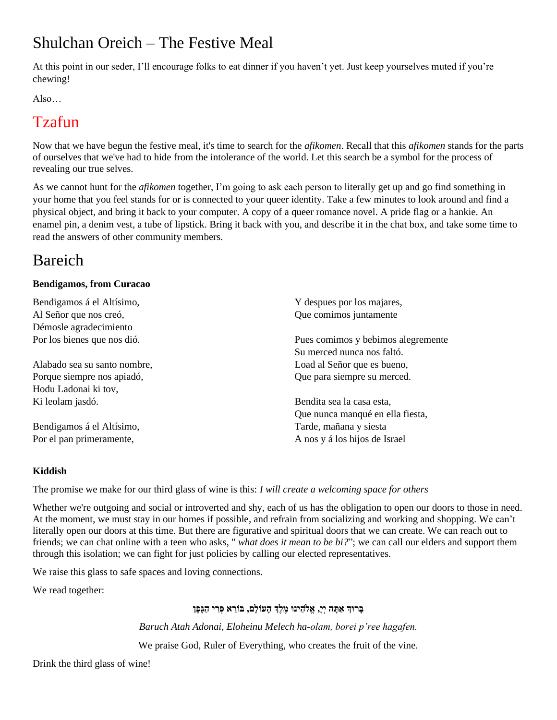# Shulchan Oreich – The Festive Meal

At this point in our seder, I'll encourage folks to eat dinner if you haven't yet. Just keep yourselves muted if you're chewing!

Also…

## Tzafun

Now that we have begun the festive meal, it's time to search for the *afikomen*. Recall that this *afikomen* stands for the parts of ourselves that we've had to hide from the intolerance of the world. Let this search be a symbol for the process of revealing our true selves.

As we cannot hunt for the *afikomen* together, I'm going to ask each person to literally get up and go find something in your home that you feel stands for or is connected to your queer identity. Take a few minutes to look around and find a physical object, and bring it back to your computer. A copy of a queer romance novel. A pride flag or a hankie. An enamel pin, a denim vest, a tube of lipstick. Bring it back with you, and describe it in the chat box, and take some time to read the answers of other community members.

# Bareich

#### **Bendigamos, from Curacao**

| Bendigamos á el Altísimo,    | Y despues por los majares,         |  |
|------------------------------|------------------------------------|--|
| Al Señor que nos creó,       | Que comimos juntamente             |  |
| Démosle agradecimiento       |                                    |  |
| Por los bienes que nos dió.  | Pues comimos y bebimos alegremente |  |
|                              | Su merced nunca nos faltó.         |  |
| Alabado sea su santo nombre, | Load al Señor que es bueno,        |  |
| Porque siempre nos apiadó,   | Que para siempre su merced.        |  |
| Hodu Ladonai ki tov,         |                                    |  |
| Ki leolam jasdó.             | Bendita sea la casa esta,          |  |
|                              | Que nunca manqué en ella fiesta,   |  |
| Bendigamos á el Altísimo,    | Tarde, mañana y siesta             |  |
| Por el pan primeramente,     | A nos y á los hijos de Israel      |  |

#### **Kiddish**

The promise we make for our third glass of wine is this: *I will create a welcoming space for others*

Whether we're outgoing and social or introverted and shy, each of us has the obligation to open our doors to those in need. At the moment, we must stay in our homes if possible, and refrain from socializing and working and shopping. We can't literally open our doors at this time. But there are figurative and spiritual doors that we can create. We can reach out to friends; we can chat online with a teen who asks, " *what does it mean to be bi?*"; we can call our elders and support them through this isolation; we can fight for just policies by calling our elected representatives.

We raise this glass to safe spaces and loving connections.

We read together:

#### **בָ רּוך אַ תָ ה יְי,ָ אֱֹלהֵּ ינּו מֶ לֶך הָעֹולָם, בֹורֵּ א פְ רִּ י הַגָפֶן**

*Baruch Atah Adonai, Eloheinu Melech ha-olam, borei p'ree hagafen.*

We praise God, Ruler of Everything, who creates the fruit of the vine.

Drink the third glass of wine!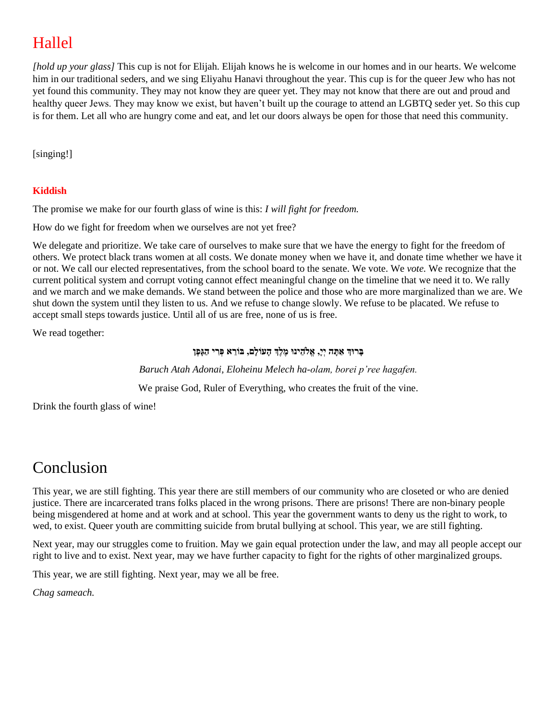# Hallel

*[hold up your glass]* This cup is not for Elijah. Elijah knows he is welcome in our homes and in our hearts. We welcome him in our traditional seders, and we sing Eliyahu Hanavi throughout the year. This cup is for the queer Jew who has not yet found this community. They may not know they are queer yet. They may not know that there are out and proud and healthy queer Jews. They may know we exist, but haven't built up the courage to attend an LGBTQ seder yet. So this cup is for them. Let all who are hungry come and eat, and let our doors always be open for those that need this community.

[singing!]

#### **Kiddish**

The promise we make for our fourth glass of wine is this: *I will fight for freedom.*

How do we fight for freedom when we ourselves are not yet free?

We delegate and prioritize. We take care of ourselves to make sure that we have the energy to fight for the freedom of others. We protect black trans women at all costs. We donate money when we have it, and donate time whether we have it or not. We call our elected representatives, from the school board to the senate. We vote. We *vote.* We recognize that the current political system and corrupt voting cannot effect meaningful change on the timeline that we need it to. We rally and we march and we make demands. We stand between the police and those who are more marginalized than we are. We shut down the system until they listen to us. And we refuse to change slowly. We refuse to be placated. We refuse to accept small steps towards justice. Until all of us are free, none of us is free.

We read together:

#### **בָ רּוך אַ תָ ה יְי,ָ אֱֹלהֵּ ינּו מֶ לֶך הָעֹולָם, בֹורֵּ א פְ רִּ י הַגָפֶן**

*Baruch Atah Adonai, Eloheinu Melech ha-olam, borei p'ree hagafen.*

We praise God, Ruler of Everything, who creates the fruit of the vine.

Drink the fourth glass of wine!

## Conclusion

This year, we are still fighting. This year there are still members of our community who are closeted or who are denied justice. There are incarcerated trans folks placed in the wrong prisons. There are prisons! There are non-binary people being misgendered at home and at work and at school. This year the government wants to deny us the right to work, to wed, to exist. Queer youth are committing suicide from brutal bullying at school. This year, we are still fighting.

Next year, may our struggles come to fruition. May we gain equal protection under the law, and may all people accept our right to live and to exist. Next year, may we have further capacity to fight for the rights of other marginalized groups.

This year, we are still fighting. Next year, may we all be free.

*Chag sameach.*